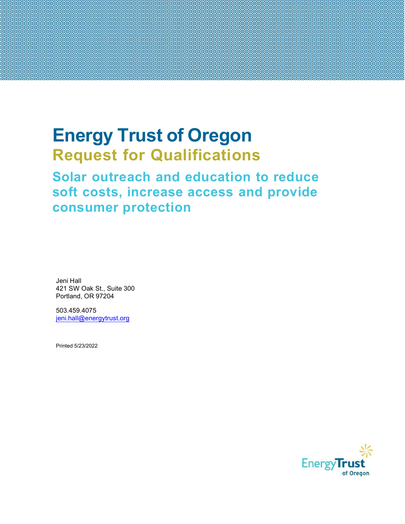# Energy Trust of Oregon Request for Qualifications

# Solar outreach and education to reduce soft costs, increase access and provide consumer protection

Jeni Hall 421 SW Oak St., Suite 300 Portland, OR 97204

503.459.4075 jeni.hall@energytrust.org

Printed 5/23/2022

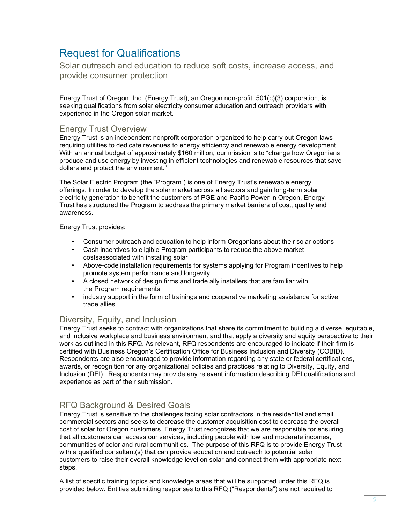# Request for Qualifications

Solar outreach and education to reduce soft costs, increase access, and provide consumer protection

Energy Trust of Oregon, Inc. (Energy Trust), an Oregon non-profit, 501(c)(3) corporation, is seeking qualifications from solar electricity consumer education and outreach providers with experience in the Oregon solar market.

## Energy Trust Overview

Energy Trust is an independent nonprofit corporation organized to help carry out Oregon laws requiring utilities to dedicate revenues to energy efficiency and renewable energy development. With an annual budget of approximately \$160 million, our mission is to "change how Oregonians produce and use energy by investing in efficient technologies and renewable resources that save dollars and protect the environment."

The Solar Electric Program (the "Program") is one of Energy Trust's renewable energy offerings. In order to develop the solar market across all sectors and gain long-term solar electricity generation to benefit the customers of PGE and Pacific Power in Oregon, Energy Trust has structured the Program to address the primary market barriers of cost, quality and awareness.

Energy Trust provides:

- Consumer outreach and education to help inform Oregonians about their solar options
- Cash incentives to eligible Program participants to reduce the above market costs associated with installing solar
- Above-code installation requirements for systems applying for Program incentives to help promote system performance and longevity
- A closed network of design firms and trade ally installers that are familiar with the Program requirements
- industry support in the form of trainings and cooperative marketing assistance for active trade allies

# Diversity, Equity, and Inclusion

Energy Trust seeks to contract with organizations that share its commitment to building a diverse, equitable, and inclusive workplace and business environment and that apply a diversity and equity perspective to their work as outlined in this RFQ. As relevant, RFQ respondents are encouraged to indicate if their firm is certified with Business Oregon's Certification Office for Business Inclusion and Diversity (COBID). Respondents are also encouraged to provide information regarding any state or federal certifications, awards, or recognition for any organizational policies and practices relating to Diversity, Equity, and Inclusion (DEI). Respondents may provide any relevant information describing DEI qualifications and experience as part of their submission.

# RFQ Background & Desired Goals

Energy Trust is sensitive to the challenges facing solar contractors in the residential and small commercial sectors and seeks to decrease the customer acquisition cost to decrease the overall cost of solar for Oregon customers. Energy Trust recognizes that we are responsible for ensuring that all customers can access our services, including people with low and moderate incomes, communities of color and rural communities. The purpose of this RFQ is to provide Energy Trust with a qualified consultant(s) that can provide education and outreach to potential solar customers to raise their overall knowledge level on solar and connect them with appropriate next steps.

A list of specific training topics and knowledge areas that will be supported under this RFQ is provided below. Entities submitting responses to this RFQ ("Respondents") are not required to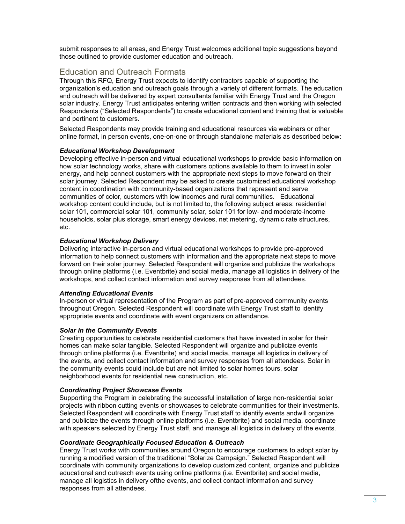submit responses to all areas, and Energy Trust welcomes additional topic suggestions beyond those outlined to provide customer education and outreach.

# Education and Outreach Formats

Through this RFQ, Energy Trust expects to identify contractors capable of supporting the organization's education and outreach goals through a variety of different formats. The education and outreach will be delivered by expert consultants familiar with Energy Trust and the Oregon solar industry. Energy Trust anticipates entering written contracts and then working with selected Respondents ("Selected Respondents") to create educational content and training that is valuable and pertinent to customers.

Selected Respondents may provide training and educational resources via webinars or other online format, in person events, one-on-one or through standalone materials as described below:

#### Educational Workshop Development

Developing effective in-person and virtual educational workshops to provide basic information on how solar technology works, share with customers options available to them to invest in solar energy, and help connect customers with the appropriate next steps to move forward on their solar journey. Selected Respondent may be asked to create customized educational workshop content in coordination with community-based organizations that represent and serve communities of color, customers with low incomes and rural communities. Educational workshop content could include, but is not limited to, the following subject areas: residential solar 101, commercial solar 101, community solar, solar 101 for low- and moderate-income households, solar plus storage, smart energy devices, net metering, dynamic rate structures, etc.

#### Educational Workshop Delivery

Delivering interactive in-person and virtual educational workshops to provide pre-approved information to help connect customers with information and the appropriate next steps to move forward on their solar journey. Selected Respondent will organize and publicize the workshops through online platforms (i.e. Eventbrite) and social media, manage all logistics in delivery of the workshops, and collect contact information and survey responses from all attendees.

#### Attending Educational Events

In-person or virtual representation of the Program as part of pre-approved community events throughout Oregon. Selected Respondent will coordinate with Energy Trust staff to identify appropriate events and coordinate with event organizers on attendance.

#### Solar in the Community Events

Creating opportunities to celebrate residential customers that have invested in solar for their homes can make solar tangible. Selected Respondent will organize and publicize events through online platforms (i.e. Eventbrite) and social media, manage all logistics in delivery of the events, and collect contact information and survey responses from all attendees. Solar in the community events could include but are not limited to solar homes tours, solar neighborhood events for residential new construction, etc.

#### Coordinating Project Showcase Events

Supporting the Program in celebrating the successful installation of large non-residential solar projects with ribbon cutting events or showcases to celebrate communities for their investments. Selected Respondent will coordinate with Energy Trust staff to identify events and will organize and publicize the events through online platforms (i.e. Eventbrite) and social media, coordinate with speakers selected by Energy Trust staff, and manage all logistics in delivery of the events.

#### Coordinate Geographically Focused Education & Outreach

Energy Trust works with communities around Oregon to encourage customers to adopt solar by running a modified version of the traditional "Solarize Campaign." Selected Respondent will coordinate with community organizations to develop customized content, organize and publicize educational and outreach events using online platforms (i.e. Eventbrite) and social media, manage all logistics in delivery ofthe events, and collect contact information and survey responses from all attendees.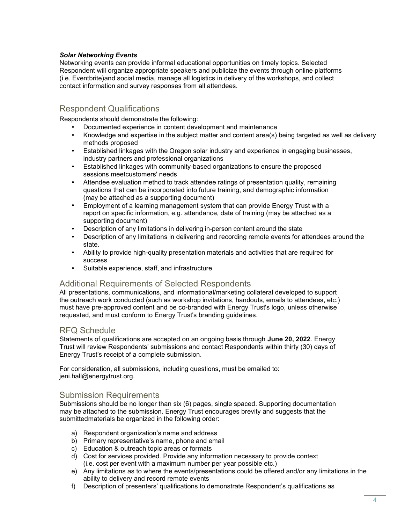#### Solar Networking Events

Networking events can provide informal educational opportunities on timely topics. Selected Respondent will organize appropriate speakers and publicize the events through online platforms (i.e. Eventbrite) and social media, manage all logistics in delivery of the workshops, and collect contact information and survey responses from all attendees.

# Respondent Qualifications

Respondents should demonstrate the following:

- Documented experience in content development and maintenance
- Knowledge and expertise in the subject matter and content area(s) being targeted as well as delivery methods proposed
- Established linkages with the Oregon solar industry and experience in engaging businesses, industry partners and professional organizations
- Established linkages with community-based organizations to ensure the proposed sessions meetcustomers' needs
- Attendee evaluation method to track attendee ratings of presentation quality, remaining questions that can be incorporated into future training, and demographic information (may be attached as a supporting document)
- Employment of a learning management system that can provide Energy Trust with a report on specific information, e.g. attendance, date of training (may be attached as a supporting document)
- Description of any limitations in delivering in-person content around the state
- Description of any limitations in delivering and recording remote events for attendees around the state.
- Ability to provide high-quality presentation materials and activities that are required for success
- Suitable experience, staff, and infrastructure

#### Additional Requirements of Selected Respondents

All presentations, communications, and informational/marketing collateral developed to support the outreach work conducted (such as workshop invitations, handouts, emails to attendees, etc.) must have pre-approved content and be co-branded with Energy Trust's logo, unless otherwise requested, and must conform to Energy Trust's branding guidelines.

#### RFQ Schedule

Statements of qualifications are accepted on an ongoing basis through June 20, 2022. Energy Trust will review Respondents' submissions and contact Respondents within thirty (30) days of Energy Trust's receipt of a complete submission.

For consideration, all submissions, including questions, must be emailed to: jeni.hall@energytrust.org.

#### Submission Requirements

Submissions should be no longer than six (6) pages, single spaced. Supporting documentation may be attached to the submission. Energy Trust encourages brevity and suggests that the submitted materials be organized in the following order:

- a) Respondent organization's name and address
- b) Primary representative's name, phone and email
- c) Education & outreach topic areas or formats
- d) Cost for services provided. Provide any information necessary to provide context (i.e. cost per event with a maximum number per year possible etc.)
- e) Any limitations as to where the events/presentations could be offered and/or any limitations in the ability to delivery and record remote events
- f) Description of presenters' qualifications to demonstrate Respondent's qualifications as